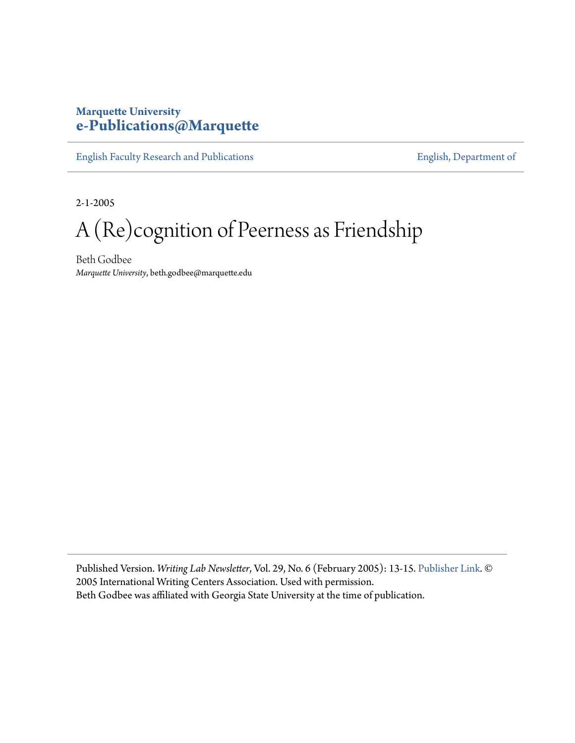## **Marquette University [e-Publications@Marquette](https://epublications.marquette.edu)**

[English Faculty Research and Publications](https://epublications.marquette.edu/english_fac) **[English, Department of](https://epublications.marquette.edu/english)** 

2-1-2005

## A (Re)cognition of Peerness as Friendship

Beth Godbee *Marquette University*, beth.godbee@marquette.edu

Published Version. *Writing Lab Newsletter*, Vol. 29, No. 6 (February 2005): 13-15. [Publisher Link](http://writingcenters.org/wln/). © 2005 International Writing Centers Association. Used with permission. Beth Godbee was affiliated with Georgia State University at the time of publication.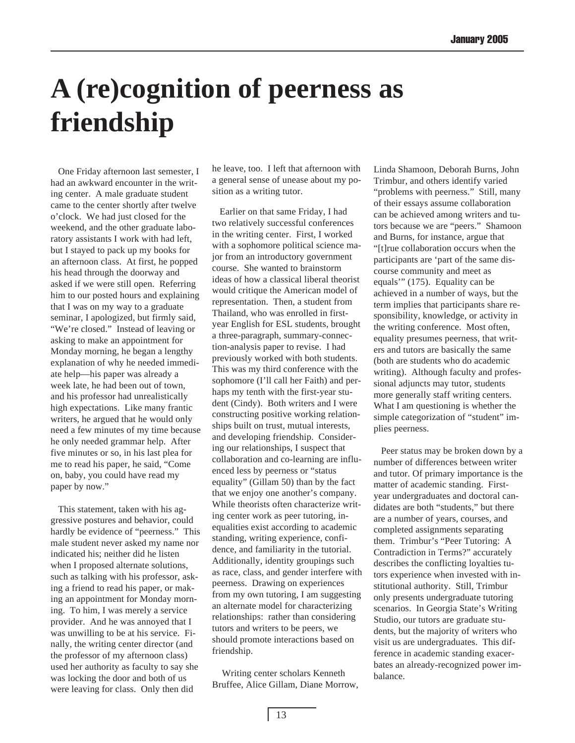## **A (re)cognition of peerness as friendship**

One Friday afternoon last semester, I had an awkward encounter in the writing center. A male graduate student came to the center shortly after twelve o'clock. We had just closed for the weekend, and the other graduate laboratory assistants I work with had left, but I stayed to pack up my books for an afternoon class. At first, he popped his head through the doorway and asked if we were still open. Referring him to our posted hours and explaining that I was on my way to a graduate seminar, I apologized, but firmly said, "We're closed." Instead of leaving or asking to make an appointment for Monday morning, he began a lengthy explanation of why he needed immediate help—his paper was already a week late, he had been out of town, and his professor had unrealistically high expectations. Like many frantic writers, he argued that he would only need a few minutes of my time because he only needed grammar help. After five minutes or so, in his last plea for me to read his paper, he said, "Come on, baby, you could have read my paper by now."

This statement, taken with his aggressive postures and behavior, could hardly be evidence of "peerness." This male student never asked my name nor indicated his; neither did he listen when I proposed alternate solutions, such as talking with his professor, asking a friend to read his paper, or making an appointment for Monday morning. To him, I was merely a service provider. And he was annoyed that I was unwilling to be at his service. Finally, the writing center director (and the professor of my afternoon class) used her authority as faculty to say she was locking the door and both of us were leaving for class. Only then did

he leave, too. I left that afternoon with a general sense of unease about my position as a writing tutor.

Earlier on that same Friday, I had two relatively successful conferences in the writing center. First, I worked with a sophomore political science major from an introductory government course. She wanted to brainstorm ideas of how a classical liberal theorist would critique the American model of representation. Then, a student from Thailand, who was enrolled in firstyear English for ESL students, brought a three-paragraph, summary-connection-analysis paper to revise. I had previously worked with both students. This was my third conference with the sophomore (I'll call her Faith) and perhaps my tenth with the first-year student (Cindy). Both writers and I were constructing positive working relationships built on trust, mutual interests, and developing friendship. Considering our relationships, I suspect that collaboration and co-learning are influenced less by peerness or "status equality" (Gillam 50) than by the fact that we enjoy one another's company. While theorists often characterize writing center work as peer tutoring, inequalities exist according to academic standing, writing experience, confidence, and familiarity in the tutorial. Additionally, identity groupings such as race, class, and gender interfere with peerness. Drawing on experiences from my own tutoring, I am suggesting an alternate model for characterizing relationships: rather than considering tutors and writers to be peers, we should promote interactions based on friendship.

 Writing center scholars Kenneth Bruffee, Alice Gillam, Diane Morrow, Linda Shamoon, Deborah Burns, John Trimbur, and others identify varied "problems with peerness." Still, many of their essays assume collaboration can be achieved among writers and tutors because we are "peers." Shamoon and Burns, for instance, argue that "[t]rue collaboration occurs when the participants are 'part of the same discourse community and meet as equals'" (175). Equality can be achieved in a number of ways, but the term implies that participants share responsibility, knowledge, or activity in the writing conference. Most often, equality presumes peerness, that writers and tutors are basically the same (both are students who do academic writing). Although faculty and professional adjuncts may tutor, students more generally staff writing centers. What I am questioning is whether the simple categorization of "student" implies peerness.

Peer status may be broken down by a number of differences between writer and tutor. Of primary importance is the matter of academic standing. Firstyear undergraduates and doctoral candidates are both "students," but there are a number of years, courses, and completed assignments separating them. Trimbur's "Peer Tutoring: A Contradiction in Terms?" accurately describes the conflicting loyalties tutors experience when invested with institutional authority. Still, Trimbur only presents undergraduate tutoring scenarios. In Georgia State's Writing Studio, our tutors are graduate students, but the majority of writers who visit us are undergraduates. This difference in academic standing exacerbates an already-recognized power imbalance.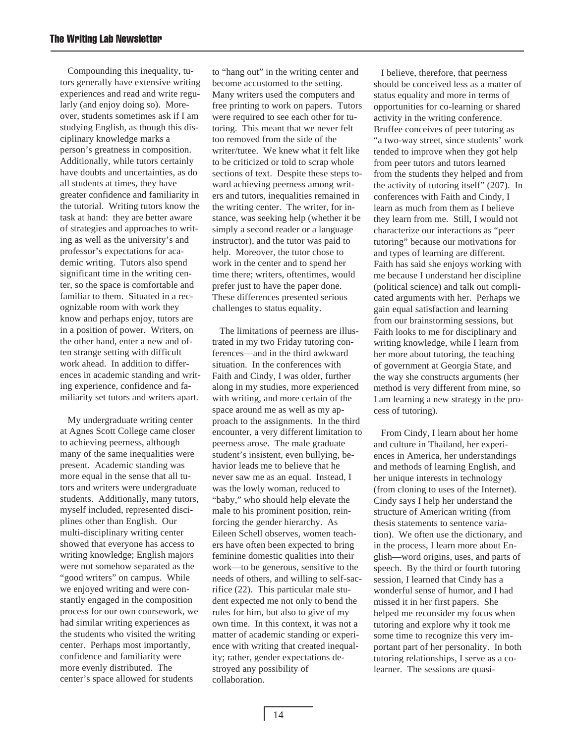Compounding this inequality, tutors generally have extensive writing experiences and read and write regularly (and enjoy doing so). Moreover, students sometimes ask if I am studying English, as though this disciplinary knowledge marks a person's greatness in composition. Additionally, while tutors certainly have doubts and uncertainties, as do all students at times, they have greater confidence and familiarity in the tutorial. Writing tutors know the task at hand: they are better aware of strategies and approaches to writing as well as the university's and professor's expectations for academic writing. Tutors also spend significant time in the writing center, so the space is comfortable and familiar to them. Situated in a recognizable room with work they know and perhaps enjoy, tutors are in a position of power. Writers, on the other hand, enter a new and often strange setting with difficult work ahead. In addition to differences in academic standing and writing experience, confidence and familiarity set tutors and writers apart.

My undergraduate writing center at Agnes Scott College came closer to achieving peerness, although many of the same inequalities were present. Academic standing was more equal in the sense that all tutors and writers were undergraduate students. Additionally, many tutors, myself included, represented disciplines other than English. Our multi-disciplinary writing center showed that everyone has access to writing knowledge; English majors were not somehow separated as the "good writers" on campus. While we enjoyed writing and were constantly engaged in the composition process for our own coursework, we had similar writing experiences as the students who visited the writing center. Perhaps most importantly, confidence and familiarity were more evenly distributed. The center's space allowed for students

to "hang out" in the writing center and become accustomed to the setting. Many writers used the computers and free printing to work on papers. Tutors were required to see each other for tutoring. This meant that we never felt too removed from the side of the writer/tutee. We knew what it felt like to be criticized or told to scrap whole sections of text. Despite these steps toward achieving peerness among writers and tutors, inequalities remained in the writing center. The writer, for instance, was seeking help (whether it be simply a second reader or a language instructor), and the tutor was paid to help. Moreover, the tutor chose to work in the center and to spend her time there; writers, oftentimes, would prefer just to have the paper done. These differences presented serious challenges to status equality.

The limitations of peerness are illustrated in my two Friday tutoring conferences—and in the third awkward situation. In the conferences with Faith and Cindy, I was older, further along in my studies, more experienced with writing, and more certain of the space around me as well as my approach to the assignments. In the third encounter, a very different limitation to peerness arose. The male graduate student's insistent, even bullying, behavior leads me to believe that he never saw me as an equal. Instead, I was the lowly woman, reduced to "baby," who should help elevate the male to his prominent position, reinforcing the gender hierarchy. As Eileen Schell observes, women teachers have often been expected to bring feminine domestic qualities into their work—to be generous, sensitive to the needs of others, and willing to self-sacrifice (22). This particular male student expected me not only to bend the rules for him, but also to give of my own time. In this context, it was not a matter of academic standing or experience with writing that created inequality; rather, gender expectations destroyed any possibility of collaboration.

I believe, therefore, that peerness should be conceived less as a matter of status equality and more in terms of opportunities for co-learning or shared activity in the writing conference. Bruffee conceives of peer tutoring as "a two-way street, since students' work tended to improve when they got help from peer tutors and tutors learned from the students they helped and from the activity of tutoring itself" (207). In conferences with Faith and Cindy, I learn as much from them as I believe they learn from me. Still, I would not characterize our interactions as "peer tutoring" because our motivations for and types of learning are different. Faith has said she enjoys working with me because I understand her discipline (political science) and talk out complicated arguments with her. Perhaps we gain equal satisfaction and learning from our brainstorming sessions, but Faith looks to me for disciplinary and writing knowledge, while I learn from her more about tutoring, the teaching of government at Georgia State, and the way she constructs arguments (her method is very different from mine, so I am learning a new strategy in the process of tutoring).

From Cindy, I learn about her home and culture in Thailand, her experiences in America, her understandings and methods of learning English, and her unique interests in technology (from cloning to uses of the Internet). Cindy says I help her understand the structure of American writing (from thesis statements to sentence variation). We often use the dictionary, and in the process, I learn more about English—word origins, uses, and parts of speech. By the third or fourth tutoring session, I learned that Cindy has a wonderful sense of humor, and I had missed it in her first papers. She helped me reconsider my focus when tutoring and explore why it took me some time to recognize this very important part of her personality. In both tutoring relationships, I serve as a colearner. The sessions are quasi